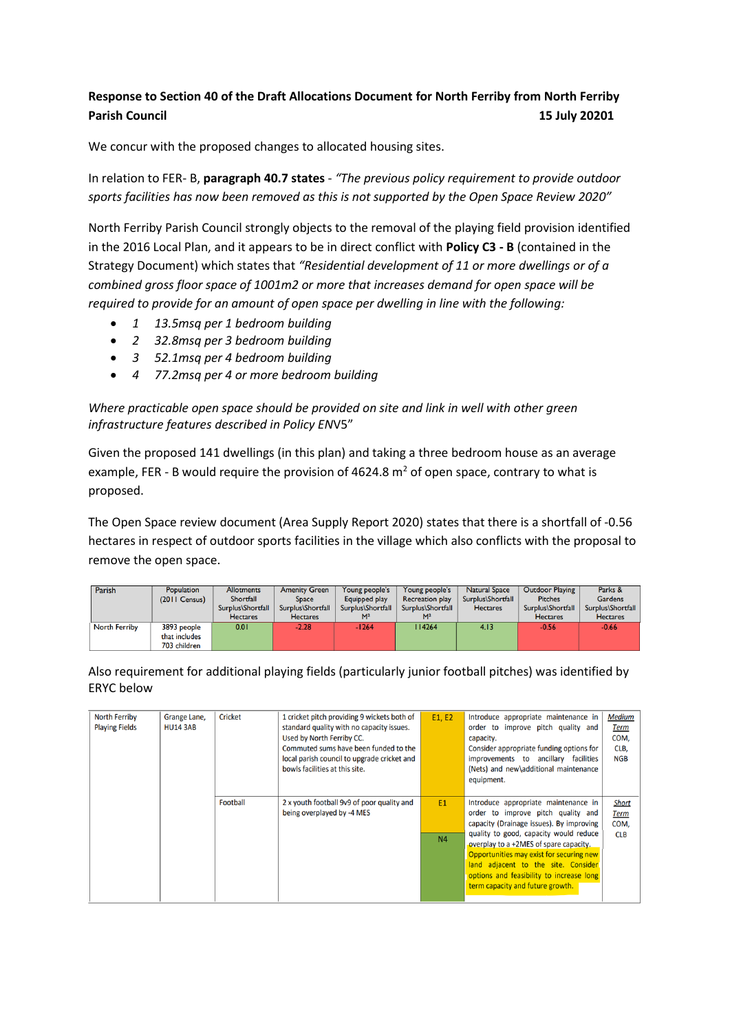## **Response to Section 40 of the Draft Allocations Document for North Ferriby from North Ferriby**  Parish Council **15 July 20201**

We concur with the proposed changes to allocated housing sites.

In relation to FER- B, **paragraph 40.7 states** - *"The previous policy requirement to provide outdoor sports facilities has now been removed as this is not supported by the Open Space Review 2020"*

North Ferriby Parish Council strongly objects to the removal of the playing field provision identified in the 2016 Local Plan, and it appears to be in direct conflict with **Policy C3 - B** (contained in the Strategy Document) which states that *"Residential development of 11 or more dwellings or of a combined gross floor space of 1001m2 or more that increases demand for open space will be required to provide for an amount of open space per dwelling in line with the following:* 

- *1 13.5msq per 1 bedroom building*
- *2 32.8msq per 3 bedroom building*
- *3 52.1msq per 4 bedroom building*
- *4 77.2msq per 4 or more bedroom building*

*Where practicable open space should be provided on site and link in well with other green infrastructure features described in Policy EN*V5"

Given the proposed 141 dwellings (in this plan) and taking a three bedroom house as an average example, FER - B would require the provision of 4624.8  $m<sup>2</sup>$  of open space, contrary to what is proposed.

The Open Space review document (Area Supply Report 2020) states that there is a shortfall of -0.56 hectares in respect of outdoor sports facilities in the village which also conflicts with the proposal to remove the open space.

| Parish               | <b>Population</b> | <b>Allotments</b> | <b>Amenity Green</b> | Young people's    | Young people's         | <b>Natural Space</b> | <b>Outdoor Playing</b> | Parks &           |
|----------------------|-------------------|-------------------|----------------------|-------------------|------------------------|----------------------|------------------------|-------------------|
|                      | $(2011$ Census)   | Shortfall         | <b>Space</b>         | Equipped play     | <b>Recreation play</b> | Surplus\Shortfall    | <b>Pitches</b>         | <b>Gardens</b>    |
|                      |                   | Surplus\Shortfall | Surplus\Shortfall    | Surplus\Shortfall | Surplus\Shortfall      | <b>Hectares</b>      | Surplus\Shortfall      | Surplus\Shortfall |
|                      |                   | <b>Hectares</b>   | <b>Hectares</b>      | M <sup>2</sup>    | M <sup>2</sup>         |                      | <b>Hectares</b>        | <b>Hectares</b>   |
| <b>North Ferriby</b> | 3893 people       | 0.01              | $-2.28$              | $-1264$           | 14264                  | 4.13                 | $-0.56$                | $-0.66$           |
|                      | that includes     |                   |                      |                   |                        |                      |                        |                   |
|                      | 703 children      |                   |                      |                   |                        |                      |                        |                   |

Also requirement for additional playing fields (particularly junior football pitches) was identified by ERYC below

| <b>North Ferriby</b><br><b>Playing Fields</b> | Grange Lane,<br><b>HU14 3AB</b> | <b>Cricket</b> | 1 cricket pitch providing 9 wickets both of<br>standard quality with no capacity issues.<br>Used by North Ferriby CC.<br>Commuted sums have been funded to the<br>local parish council to upgrade cricket and<br>bowls facilities at this site. | E1. E2                           | Introduce appropriate maintenance in<br>order to improve pitch quality and<br>capacity.<br>Consider appropriate funding options for<br>improvements to ancillary facilities<br>(Nets) and new\additional maintenance<br>equipment.                                                                                                                                            | <b>Medium</b><br><b>Term</b><br>COM.<br>CLB,<br><b>NGB</b> |
|-----------------------------------------------|---------------------------------|----------------|-------------------------------------------------------------------------------------------------------------------------------------------------------------------------------------------------------------------------------------------------|----------------------------------|-------------------------------------------------------------------------------------------------------------------------------------------------------------------------------------------------------------------------------------------------------------------------------------------------------------------------------------------------------------------------------|------------------------------------------------------------|
|                                               |                                 | Football       | 2 x youth football 9v9 of poor quality and<br>being overplayed by -4 MES                                                                                                                                                                        | E <sub>1</sub><br>N <sub>4</sub> | Introduce appropriate maintenance in<br>order to improve pitch quality and<br>capacity (Drainage issues). By improving<br>quality to good, capacity would reduce<br>overplay to a +2MES of spare capacity.<br>Opportunities may exist for securing new<br>land adjacent to the site. Consider<br>options and feasibility to increase long<br>term capacity and future growth. | <b>Short</b><br><b>Term</b><br>COM,<br><b>CLB</b>          |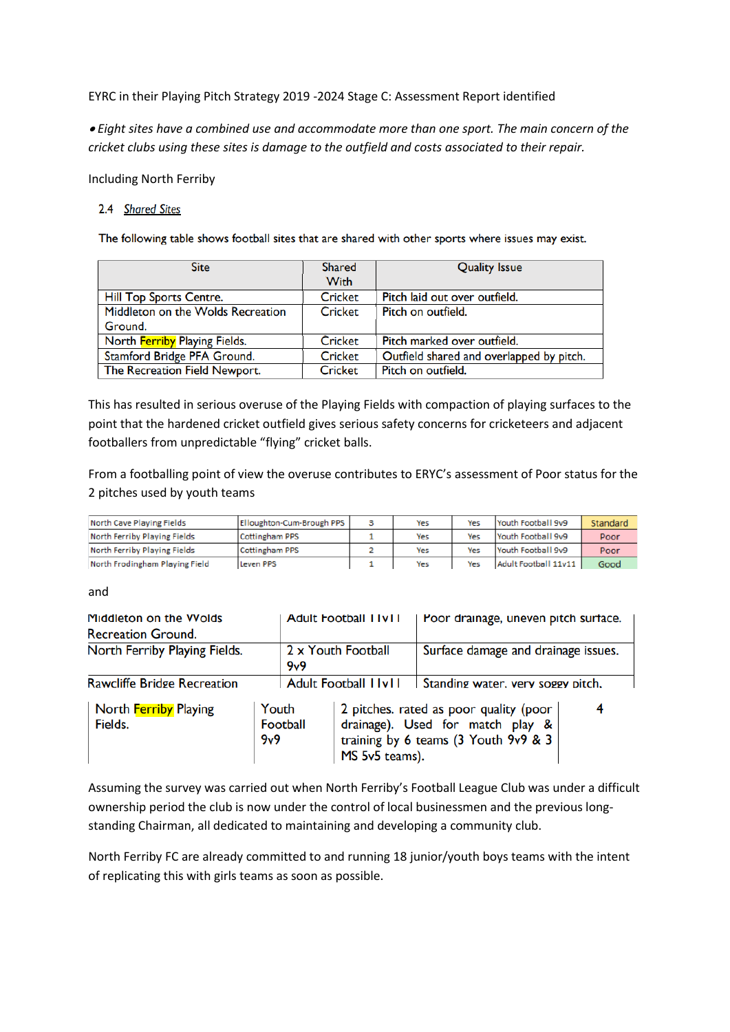EYRC in their Playing Pitch Strategy 2019 -2024 Stage C: Assessment Report identified

• *Eight sites have a combined use and accommodate more than one sport. The main concern of the cricket clubs using these sites is damage to the outfield and costs associated to their repair.*

Including North Ferriby

## 2.4 Shared Sites

The following table shows football sites that are shared with other sports where issues may exist.

| <b>Site</b>                       | <b>Shared</b>  | <b>Quality Issue</b>                     |
|-----------------------------------|----------------|------------------------------------------|
|                                   | <b>With</b>    |                                          |
| Hill Top Sports Centre.           | <b>Cricket</b> | Pitch laid out over outfield.            |
| Middleton on the Wolds Recreation | Cricket        | Pitch on outfield.                       |
| Ground.                           |                |                                          |
| North Ferriby Playing Fields.     | Cricket        | Pitch marked over outfield.              |
| Stamford Bridge PFA Ground.       | Cricket        | Outfield shared and overlapped by pitch. |
| The Recreation Field Newport.     | Cricket        | Pitch on outfield.                       |

This has resulted in serious overuse of the Playing Fields with compaction of playing surfaces to the point that the hardened cricket outfield gives serious safety concerns for cricketeers and adjacent footballers from unpredictable "flying" cricket balls.

From a footballing point of view the overuse contributes to ERYC's assessment of Poor status for the 2 pitches used by youth teams

| North Cave Playing Fields      | Elloughton-Cum-Brough PPS | Yes | Yes | Youth Football 9v9   | Standard |
|--------------------------------|---------------------------|-----|-----|----------------------|----------|
| North Ferriby Playing Fields   | Cottingham PPS            | Yes | Yes | Youth Football 9v9   | Poor     |
| North Ferriby Playing Fields   | Cottingham PPS            | Yes | Yes | Youth Football 9v9   | Poor     |
| North Frodingham Playing Field | Leven PPS                 | Yes | Yes | Adult Football 11v11 | Good     |

## and

| Middleton on the Vyolds<br><b>Recreation Ground.</b>         |  |                           | <b>Adult Football I IVII</b>                                                                                                                | Poor drainage, uneven pitch surface. |  |  |
|--------------------------------------------------------------|--|---------------------------|---------------------------------------------------------------------------------------------------------------------------------------------|--------------------------------------|--|--|
| North Ferriby Playing Fields.                                |  | 2 x Youth Football<br>9v9 |                                                                                                                                             | Surface damage and drainage issues.  |  |  |
| <b>Rawcliffe Bridge Recreation</b>                           |  |                           | <b>Adult Football I IvII</b>                                                                                                                | Standing water, very soggy pitch,    |  |  |
| North Ferriby Playing<br>Youth<br>Fields.<br>Football<br>9v9 |  |                           | 2 pitches. rated as poor quality (poor  <br>4<br>drainage). Used for match play &<br>training by 6 teams (3 Youth 9v9 & 3<br>MS 5v5 teams). |                                      |  |  |

Assuming the survey was carried out when North Ferriby's Football League Club was under a difficult ownership period the club is now under the control of local businessmen and the previous longstanding Chairman, all dedicated to maintaining and developing a community club.

North Ferriby FC are already committed to and running 18 junior/youth boys teams with the intent of replicating this with girls teams as soon as possible.